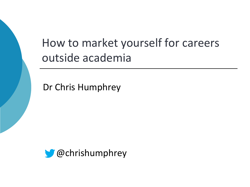# How to market yourself for careers outside academia

Dr Chris Humphrey

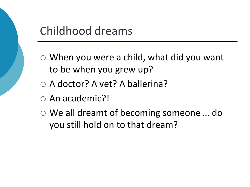

- When you were a child, what did you want to be when you grew up?
- A doctor? A vet? A ballerina?
- An academic?!
- We all dreamt of becoming someone … do you still hold on to that dream?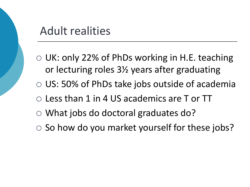### Adult realities

- UK: only 22% of PhDs working in H.E. teaching or lecturing roles 3½ years after graduating
- US: 50% of PhDs take jobs outside of academia
- Less than 1 in 4 US academics are T or TT
- What jobs do doctoral graduates do?
- $\circ$  So how do you market yourself for these jobs?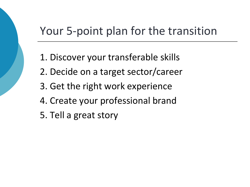## Your 5-point plan for the transition

- 1. Discover your transferable skills
- 2. Decide on a target sector/career
- 3. Get the right work experience
- 4. Create your professional brand
- 5. Tell a great story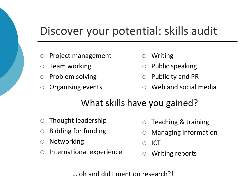## Discover your potential: skills audit

- $\circ$  Project management
- $\circ$  Team working
- $\circ$  Problem solving
- $\circ$  Organising events
- Writing
- $\circ$  Public speaking
- $\circ$  Publicity and PR
- Web and social media

### What skills have you gained?

- $\circ$  Thought leadership
- $\circ$  Bidding for funding
- $\circ$  Networking
- $\circ$  International experience
- $\circ$  Teaching & training
- Managing information
- ICT
- Writing reports

… oh and did I mention research?!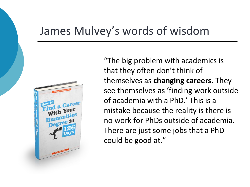### James Mulvey's words of wisdom



"The big problem with academics is that they often don't think of themselves as **changing careers**. They see themselves as 'finding work outside of academia with a PhD.' This is a mistake because the reality is there is no work for PhDs outside of academia. There are just some jobs that a PhD could be good at."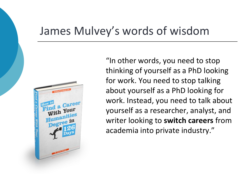### James Mulvey's words of wisdom



"In other words, you need to stop thinking of yourself as a PhD looking for work. You need to stop talking about yourself as a PhD looking for work. Instead, you need to talk about yourself as a researcher, analyst, and writer looking to **switch careers** from academia into private industry."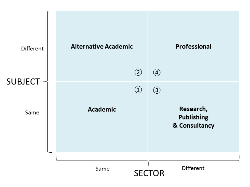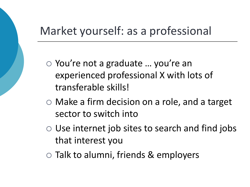## Market yourself: as a professional

- You're not a graduate ... you're an experienced professional X with lots of transferable skills!
- Make a firm decision on a role, and a target sector to switch into
- $\circ$  Use internet job sites to search and find jobs that interest you
- Talk to alumni, friends & employers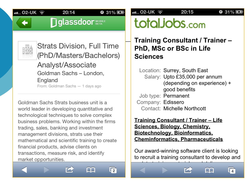$20:15$ 

#### $931\%$

**Diglassdoor** 

20:14

 $931\%$ 



 $\cdot$ ... 02-UK  $\hat{\mathcal{F}}$ 

**Strats Division, Full Time** (PhD/Masters/Bachelors) Analyst/Associate Goldman Sachs - London, England From: Goldman Sachs - 1 days ago

Goldman Sachs Strats business unit is a world leader in developing quantitative and technological techniques to solve complex business problems. Working within the firms trading, sales, banking and investment management divisions, strats use their mathematical and scientific training to create financial products, advise clients on transactions, measure risk, and identify market opportunities.



**Training Consultant / Trainer -**PhD, MSc or BSc in Life **Sciences** 

Location: Surrey, South East Salary: Upto £35,000 per annum (depending on experience) + good benefits Job type: Permanent Company: Edissero Contact: Michelle Northcott

**Training Consultant / Trainer - Life** Sciences, Biology, Chemistry, **Biotechnology, Bioinformatics, Cheminformatics, Pharmaceuticals** 

Our award-winning software client is looking to recruit a training consultant to develop and

 $\Box$ 

 $\sqrt{4}$ 









AL.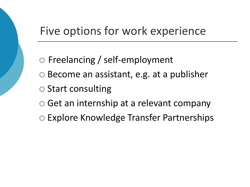### Five options for work experience

- Freelancing / self-employment
- $\circ$  Become an assistant, e.g. at a publisher
- $\circ$  Start consulting
- Get an internship at a relevant company
- Explore Knowledge Transfer Partnerships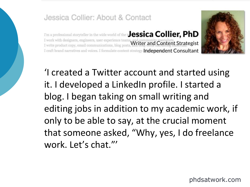#### Jessica Collier: About & Contact

I'm a professional storyteller in the wide world of the to essica Collier, PhD I work with designers, engineers, user experience team Writer and Content Strategist I craft brand narratives and voices. I formulate content strategy. Independent Consultant



'I created a Twitter account and started using it. I developed a LinkedIn profile. I started a blog. I began taking on small writing and editing jobs in addition to my academic work, if only to be able to say, at the crucial moment that someone asked, "Why, yes, I do freelance work. Let's chat."'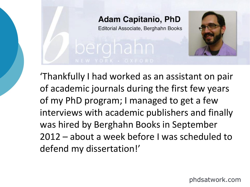### **Adam Capitanio, PhD**

Editorial Associate, Berghahn Books



'Thankfully I had worked as an assistant on pair of academic journals during the first few years of my PhD program; I managed to get a few interviews with academic publishers and finally was hired by Berghahn Books in September 2012 – about a week before I was scheduled to defend my dissertation!'

phdsatwork.com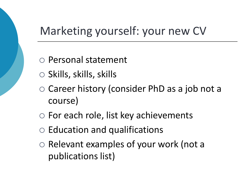## Marketing yourself: your new CV

- Personal statement
- $\circ$  Skills, skills, skills
- Career history (consider PhD as a job not a course)
- $\circ$  For each role, list key achievements
- $\circ$  Education and qualifications
- $\circ$  Relevant examples of your work (not a publications list)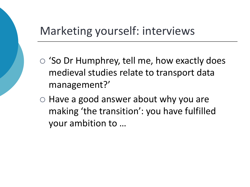## Marketing yourself: interviews

- 'So Dr Humphrey, tell me, how exactly does medieval studies relate to transport data management?'
- $\circ$  Have a good answer about why you are making 'the transition': you have fulfilled your ambition to …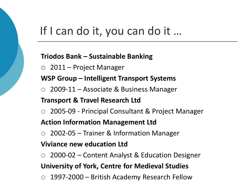### If I can do it, you can do it ...

#### **Triodos Bank – Sustainable Banking**

2011 – Project Manager

#### **WSP Group – Intelligent Transport Systems**

2009-11 – Associate & Business Manager

#### **Transport & Travel Research Ltd**

2005-09 - Principal Consultant & Project Manager

#### **Action Information Management Ltd**

2002-05 – Trainer & Information Manager

#### **Viviance new education Ltd**

2000-02 – Content Analyst & Education Designer

#### **University of York, Centre for Medieval Studies**

1997-2000 – British Academy Research Fellow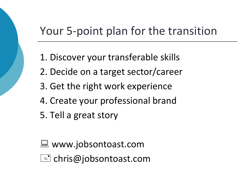## Your 5-point plan for the transition

- 1. Discover your transferable skills
- 2. Decide on a target sector/career
- 3. Get the right work experience
- 4. Create your professional brand
- 5. Tell a great story
- www.jobsontoast.com
- $\mathsf{I}$ =" chris@jobsontoast.com